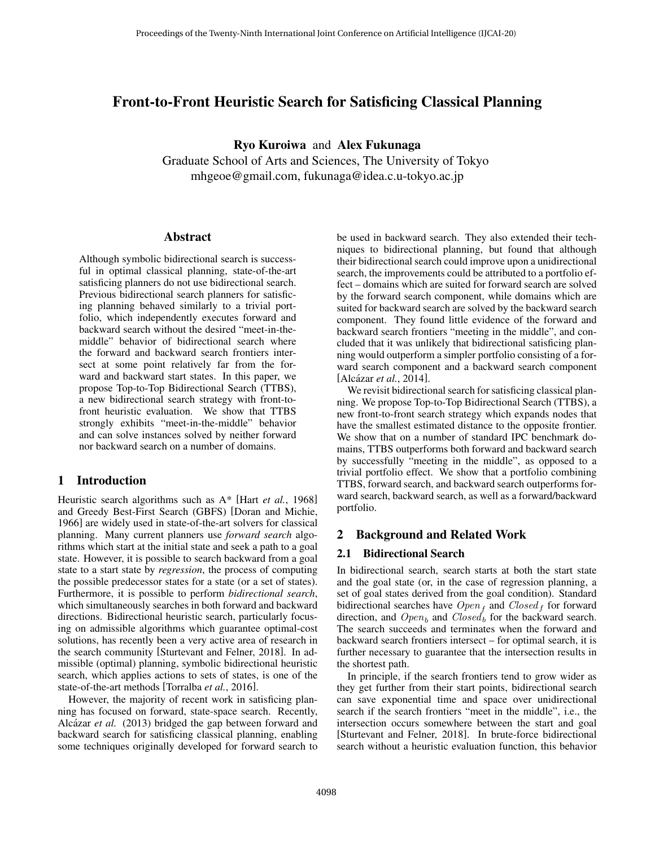## Front-to-Front Heuristic Search for Satisficing Classical Planning

Ryo Kuroiwa and Alex Fukunaga

Graduate School of Arts and Sciences, The University of Tokyo mhgeoe@gmail.com, fukunaga@idea.c.u-tokyo.ac.jp

#### Abstract

Although symbolic bidirectional search is successful in optimal classical planning, state-of-the-art satisficing planners do not use bidirectional search. Previous bidirectional search planners for satisficing planning behaved similarly to a trivial portfolio, which independently executes forward and backward search without the desired "meet-in-themiddle" behavior of bidirectional search where the forward and backward search frontiers intersect at some point relatively far from the forward and backward start states. In this paper, we propose Top-to-Top Bidirectional Search (TTBS), a new bidirectional search strategy with front-tofront heuristic evaluation. We show that TTBS strongly exhibits "meet-in-the-middle" behavior and can solve instances solved by neither forward nor backward search on a number of domains.

### 1 Introduction

Heuristic search algorithms such as A\* [Hart *et al.*[, 1968\]](#page-7-0) and Greedy Best-First Search (GBFS) [\[Doran and Michie,](#page-7-1) [1966\]](#page-7-1) are widely used in state-of-the-art solvers for classical planning. Many current planners use *forward search* algorithms which start at the initial state and seek a path to a goal state. However, it is possible to search backward from a goal state to a start state by *regression*, the process of computing the possible predecessor states for a state (or a set of states). Furthermore, it is possible to perform *bidirectional search*, which simultaneously searches in both forward and backward directions. Bidirectional heuristic search, particularly focusing on admissible algorithms which guarantee optimal-cost solutions, has recently been a very active area of research in the search community [\[Sturtevant and Felner, 2018\]](#page-7-2). In admissible (optimal) planning, symbolic bidirectional heuristic search, which applies actions to sets of states, is one of the state-of-the-art methods [\[Torralba](#page-7-3) *et al.*, 2016].

However, the majority of recent work in satisficing planning has focused on forward, state-space search. Recently, Alcázar et al. [\(2013\)](#page-7-4) bridged the gap between forward and backward search for satisficing classical planning, enabling some techniques originally developed for forward search to be used in backward search. They also extended their techniques to bidirectional planning, but found that although their bidirectional search could improve upon a unidirectional search, the improvements could be attributed to a portfolio effect – domains which are suited for forward search are solved by the forward search component, while domains which are suited for backward search are solved by the backward search component. They found little evidence of the forward and backward search frontiers "meeting in the middle", and concluded that it was unlikely that bidirectional satisficing planning would outperform a simpler portfolio consisting of a forward search component and a backward search component [Alcázar *et al.*, 2014].

We revisit bidirectional search for satisficing classical planning. We propose Top-to-Top Bidirectional Search (TTBS), a new front-to-front search strategy which expands nodes that have the smallest estimated distance to the opposite frontier. We show that on a number of standard IPC benchmark domains, TTBS outperforms both forward and backward search by successfully "meeting in the middle", as opposed to a trivial portfolio effect. We show that a portfolio combining TTBS, forward search, and backward search outperforms forward search, backward search, as well as a forward/backward portfolio.

### 2 Background and Related Work

#### <span id="page-0-0"></span>2.1 Bidirectional Search

In bidirectional search, search starts at both the start state and the goal state (or, in the case of regression planning, a set of goal states derived from the goal condition). Standard bidirectional searches have  $Open_f$  and  $Closed_f$  for forward direction, and  $Open_b$  and  $Closed_b$  for the backward search. The search succeeds and terminates when the forward and backward search frontiers intersect – for optimal search, it is further necessary to guarantee that the intersection results in the shortest path.

In principle, if the search frontiers tend to grow wider as they get further from their start points, bidirectional search can save exponential time and space over unidirectional search if the search frontiers "meet in the middle", i.e., the intersection occurs somewhere between the start and goal [\[Sturtevant and Felner, 2018\]](#page-7-2). In brute-force bidirectional search without a heuristic evaluation function, this behavior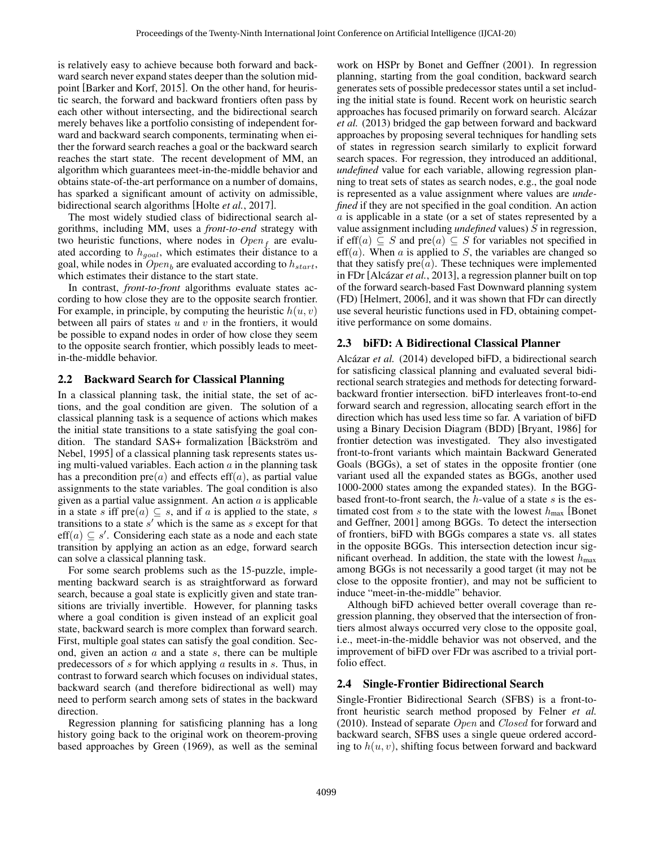is relatively easy to achieve because both forward and backward search never expand states deeper than the solution midpoint [\[Barker and Korf, 2015\]](#page-7-6). On the other hand, for heuristic search, the forward and backward frontiers often pass by each other without intersecting, and the bidirectional search merely behaves like a portfolio consisting of independent forward and backward search components, terminating when either the forward search reaches a goal or the backward search reaches the start state. The recent development of MM, an algorithm which guarantees meet-in-the-middle behavior and obtains state-of-the-art performance on a number of domains, has sparked a significant amount of activity on admissible, bidirectional search algorithms [Holte *et al.*[, 2017\]](#page-7-7).

The most widely studied class of bidirectional search algorithms, including MM, uses a *front-to-end* strategy with two heuristic functions, where nodes in  $Open_f$  are evaluated according to  $h_{goal}$ , which estimates their distance to a goal, while nodes in  $Open_b$  are evaluated according to  $h_{start}$ , which estimates their distance to the start state.

In contrast, *front-to-front* algorithms evaluate states according to how close they are to the opposite search frontier. For example, in principle, by computing the heuristic  $h(u, v)$ between all pairs of states  $u$  and  $v$  in the frontiers, it would be possible to expand nodes in order of how close they seem to the opposite search frontier, which possibly leads to meetin-the-middle behavior.

#### 2.2 Backward Search for Classical Planning

In a classical planning task, the initial state, the set of actions, and the goal condition are given. The solution of a classical planning task is a sequence of actions which makes the initial state transitions to a state satisfying the goal condition. The standard SAS+ formalization [Bäckström and [Nebel, 1995\]](#page-7-8) of a classical planning task represents states using multi-valued variables. Each action  $\alpha$  in the planning task has a precondition  $pre(a)$  and effects  $eff(a)$ , as partial value assignments to the state variables. The goal condition is also given as a partial value assignment. An action  $\alpha$  is applicable in a state s iff pre $(a) \subseteq s$ , and if a is applied to the state, s transitions to a state  $s'$  which is the same as  $s$  except for that  $\text{eff}(a) \subseteq s'$ . Considering each state as a node and each state transition by applying an action as an edge, forward search can solve a classical planning task.

For some search problems such as the 15-puzzle, implementing backward search is as straightforward as forward search, because a goal state is explicitly given and state transitions are trivially invertible. However, for planning tasks where a goal condition is given instead of an explicit goal state, backward search is more complex than forward search. First, multiple goal states can satisfy the goal condition. Second, given an action  $a$  and a state  $s$ , there can be multiple predecessors of  $s$  for which applying  $a$  results in  $s$ . Thus, in contrast to forward search which focuses on individual states, backward search (and therefore bidirectional as well) may need to perform search among sets of states in the backward direction.

Regression planning for satisficing planning has a long history going back to the original work on theorem-proving based approaches by Green [\(1969\)](#page-7-9), as well as the seminal work on HSPr by Bonet and Geffner [\(2001\)](#page-7-10). In regression planning, starting from the goal condition, backward search generates sets of possible predecessor states until a set including the initial state is found. Recent work on heuristic search approaches has focused primarily on forward search. Alcázar *[et al.](#page-7-4)* [\(2013\)](#page-7-4) bridged the gap between forward and backward approaches by proposing several techniques for handling sets of states in regression search similarly to explicit forward search spaces. For regression, they introduced an additional, *undefined* value for each variable, allowing regression planning to treat sets of states as search nodes, e.g., the goal node is represented as a value assignment where values are *undefined* if they are not specified in the goal condition. An action  $a$  is applicable in a state (or a set of states represented by a value assignment including *undefined* values) S in regression, if eff(a)  $\subseteq$  S and pre(a)  $\subseteq$  S for variables not specified in  $\text{eff}(a)$ . When a is applied to S, the variables are changed so that they satisfy  $pre(a)$ . These techniques were implemented in FDr [Alcázar et al., 2013], a regression planner built on top of the forward search-based Fast Downward planning system (FD) [\[Helmert, 2006\]](#page-7-11), and it was shown that FDr can directly use several heuristic functions used in FD, obtaining competitive performance on some domains.

#### 2.3 biFD: A Bidirectional Classical Planner

Alcázar et al. [\(2014\)](#page-7-5) developed biFD, a bidirectional search for satisficing classical planning and evaluated several bidirectional search strategies and methods for detecting forwardbackward frontier intersection. biFD interleaves front-to-end forward search and regression, allocating search effort in the direction which has used less time so far. A variation of biFD using a Binary Decision Diagram (BDD) [\[Bryant, 1986\]](#page-7-12) for frontier detection was investigated. They also investigated front-to-front variants which maintain Backward Generated Goals (BGGs), a set of states in the opposite frontier (one variant used all the expanded states as BGGs, another used 1000-2000 states among the expanded states). In the BGGbased front-to-front search, the  $h$ -value of a state  $s$  is the estimated cost from s to the state with the lowest  $h_{\text{max}}$  [\[Bonet](#page-7-10) [and Geffner, 2001\]](#page-7-10) among BGGs. To detect the intersection of frontiers, biFD with BGGs compares a state vs. all states in the opposite BGGs. This intersection detection incur significant overhead. In addition, the state with the lowest  $h_{\text{max}}$ among BGGs is not necessarily a good target (it may not be close to the opposite frontier), and may not be sufficient to induce "meet-in-the-middle" behavior.

Although biFD achieved better overall coverage than regression planning, they observed that the intersection of frontiers almost always occurred very close to the opposite goal, i.e., meet-in-the-middle behavior was not observed, and the improvement of biFD over FDr was ascribed to a trivial portfolio effect.

#### 2.4 Single-Frontier Bidirectional Search

Single-Frontier Bidirectional Search (SFBS) is a front-tofront heuristic search method proposed by [Felner](#page-7-13) *et al.* [\(2010\)](#page-7-13). Instead of separate Open and Closed for forward and backward search, SFBS uses a single queue ordered according to  $h(u, v)$ , shifting focus between forward and backward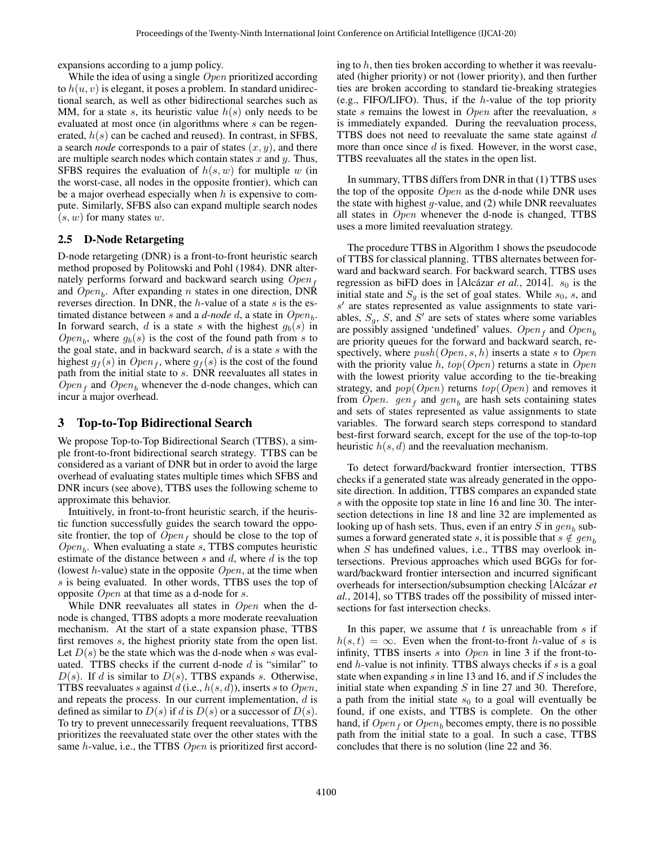expansions according to a jump policy.

While the idea of using a single *Open* prioritized according to  $h(u, v)$  is elegant, it poses a problem. In standard unidirectional search, as well as other bidirectional searches such as MM, for a state s, its heuristic value  $h(s)$  only needs to be evaluated at most once (in algorithms where s can be regenerated,  $h(s)$  can be cached and reused). In contrast, in SFBS, a search *node* corresponds to a pair of states  $(x, y)$ , and there are multiple search nodes which contain states  $x$  and  $y$ . Thus, SFBS requires the evaluation of  $h(s, w)$  for multiple w (in the worst-case, all nodes in the opposite frontier), which can be a major overhead especially when  $h$  is expensive to compute. Similarly, SFBS also can expand multiple search nodes  $(s, w)$  for many states w.

### 2.5 D-Node Retargeting

D-node retargeting (DNR) is a front-to-front heuristic search method proposed by [Politowski and Pohl](#page-7-14) [\(1984\)](#page-7-14). DNR alternately performs forward and backward search using  $Open<sub>f</sub>$ and  $Open_b$ . After expanding n states in one direction, DNR reverses direction. In DNR, the  $h$ -value of a state  $s$  is the estimated distance between  $s$  and a  $d$ -node  $d$ , a state in  $Open_b$ . In forward search, d is a state s with the highest  $g_b(s)$  in  $Open_b$ , where  $g_b(s)$  is the cost of the found path from s to the goal state, and in backward search,  $d$  is a state  $s$  with the highest  $g_f(s)$  in  $Open_f$ , where  $g_f(s)$  is the cost of the found path from the initial state to s. DNR reevaluates all states in  $Open_f$  and  $Open_b$  whenever the d-node changes, which can incur a major overhead.

## <span id="page-2-0"></span>3 Top-to-Top Bidirectional Search

We propose Top-to-Top Bidirectional Search (TTBS), a simple front-to-front bidirectional search strategy. TTBS can be considered as a variant of DNR but in order to avoid the large overhead of evaluating states multiple times which SFBS and DNR incurs (see above), TTBS uses the following scheme to approximate this behavior.

Intuitively, in front-to-front heuristic search, if the heuristic function successfully guides the search toward the opposite frontier, the top of  $Open_f$  should be close to the top of  $Open_b$ . When evaluating a state s, TTBS computes heuristic estimate of the distance between  $s$  and  $d$ , where  $d$  is the top (lowest  $h$ -value) state in the opposite  $Open$ , at the time when s is being evaluated. In other words, TTBS uses the top of opposite  $Open$  at that time as a d-node for s.

While DNR reevaluates all states in Open when the dnode is changed, TTBS adopts a more moderate reevaluation mechanism. At the start of a state expansion phase, TTBS first removes s, the highest priority state from the open list. Let  $D(s)$  be the state which was the d-node when s was evaluated. TTBS checks if the current d-node  $d$  is "similar" to  $D(s)$ . If d is similar to  $D(s)$ , TTBS expands s. Otherwise, TTBS reevaluates s against  $d$  (i.e.,  $h(s, d)$ ), inserts s to Open, and repeats the process. In our current implementation,  $d$  is defined as similar to  $D(s)$  if d is  $D(s)$  or a successor of  $D(s)$ . To try to prevent unnecessarily frequent reevaluations, TTBS prioritizes the reevaluated state over the other states with the same h-value, i.e., the TTBS Open is prioritized first according to  $h$ , then ties broken according to whether it was reevaluated (higher priority) or not (lower priority), and then further ties are broken according to standard tie-breaking strategies (e.g., FIFO/LIFO). Thus, if the  $h$ -value of the top priority state s remains the lowest in  $Open$  after the reevaluation, s is immediately expanded. During the reevaluation process, TTBS does not need to reevaluate the same state against  $d$ more than once since  $d$  is fixed. However, in the worst case, TTBS reevaluates all the states in the open list.

In summary, TTBS differs from DNR in that (1) TTBS uses the top of the opposite  $Open$  as the d-node while DNR uses the state with highest  $g$ -value, and  $(2)$  while DNR reevaluates all states in Open whenever the d-node is changed, TTBS uses a more limited reevaluation strategy.

The procedure TTBS in Algorithm [1](#page-3-0) shows the pseudocode of TTBS for classical planning. TTBS alternates between forward and backward search. For backward search, TTBS uses regression as biFD does in [Alcázar *et al.*, 2014].  $s_0$  is the initial state and  $S_q$  is the set of goal states. While  $s_0$ , s, and  $s'$  are states represented as value assignments to state variables,  $S_g$ , S, and S' are sets of states where some variables are possibly assigned 'undefined' values.  $Open_f$  and  $Open_b$ are priority queues for the forward and backward search, respectively, where  $push(Open, s, h)$  inserts a state s to Open with the priority value h,  $top(Open)$  returns a state in  $Open$ with the lowest priority value according to the tie-breaking strategy, and  $pop(Open)$  returns  $top(Open)$  and removes it from Open.  $gen_f$  and  $gen_b$  are hash sets containing states and sets of states represented as value assignments to state variables. The forward search steps correspond to standard best-first forward search, except for the use of the top-to-top heuristic  $h(s, d)$  and the reevaluation mechanism.

To detect forward/backward frontier intersection, TTBS checks if a generated state was already generated in the opposite direction. In addition, TTBS compares an expanded state s with the opposite top state in line [16](#page-2-0) and line [30.](#page-2-0) The intersection detections in line [18](#page-2-0) and line [32](#page-2-0) are implemented as looking up of hash sets. Thus, even if an entry  $S$  in  $gen_b$  subsumes a forward generated state s, it is possible that  $s \notin gen_b$ when S has undefined values, i.e., TTBS may overlook intersections. Previous approaches which used BGGs for forward/backward frontier intersection and incurred significant overheads for intersection/subsumption checking [Alcázar *et al.*[, 2014\]](#page-7-5), so TTBS trades off the possibility of missed intersections for fast intersection checks.

In this paper, we assume that  $t$  is unreachable from  $s$  if  $h(s, t) = \infty$ . Even when the front-to-front h-value of s is infinity, TTBS inserts  $s$  into  $Open$  in line [3](#page-2-0) if the front-toend  $h$ -value is not infinity. TTBS always checks if  $s$  is a goal state when expanding s in line [13](#page-2-0) and [16,](#page-2-0) and if S includes the initial state when expanding  $S$  in line [27](#page-2-0) and [30.](#page-2-0) Therefore, a path from the initial state  $s_0$  to a goal will eventually be found, if one exists, and TTBS is complete. On the other hand, if  $Open<sub>f</sub>$  or  $Open<sub>b</sub>$  becomes empty, there is no possible path from the initial state to a goal. In such a case, TTBS concludes that there is no solution (line [22](#page-2-0) and [36.](#page-2-0)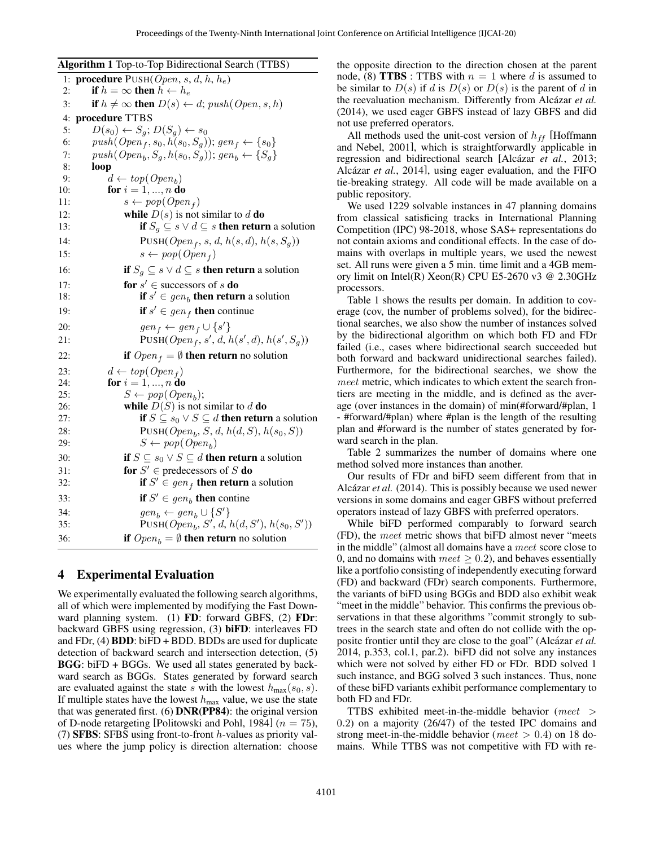<span id="page-3-0"></span>Algorithm 1 Top-to-Top Bidirectional Search (TTBS)

|     | $\cdots$ $\cdots$ $\cdots$ $\cdots$<br>$\cdots$                                    |
|-----|------------------------------------------------------------------------------------|
|     | 1: <b>procedure</b> PUSH( $Open, s, d, h, h_e$ )                                   |
| 2:  | if $h = \infty$ then $h \leftarrow h_e$                                            |
| 3:  | if $h \neq \infty$ then $D(s) \leftarrow d$ ; push(Open, s, h)                     |
| 4:  | procedure TTBS                                                                     |
| 5:  | $D(s_0) \leftarrow S_q$ ; $D(S_q) \leftarrow s_0$                                  |
| 6:  | $push(Open_{f}, s_{0}, h(s_{0}, S_{g}))$ ; gen <sub>f</sub> $\leftarrow \{s_{0}\}$ |
| 7:  | $push(Open_b, S_g, h(s_0, S_g))$ ; $gen_b \leftarrow \{S_g\}$                      |
| 8:  | loop                                                                               |
| 9:  | $d \leftarrow top(Open_h)$                                                         |
| 10: | for $i = 1, , n$ do                                                                |
| 11: | $s \leftarrow pop(Openf)$                                                          |
| 12: | while $D(s)$ is not similar to d do                                                |
| 13: | <b>if</b> $S_q \subseteq s \vee d \subseteq s$ <b>then return</b> a solution       |
| 14: | $PUSH(Open_f, s, d, h(s, d), h(s, S_g))$                                           |
| 15: | $s \leftarrow pop(Open_f)$                                                         |
| 16: | <b>if</b> $S_g \subseteq s \lor d \subseteq s$ <b>then return</b> a solution       |
| 17: | for $s' \in$ successors of s do                                                    |
| 18: | if $s' \in gen_b$ then return a solution                                           |
| 19: | <b>if</b> $s' \in gen$ then continue                                               |
| 20: | $gen_f \leftarrow gen_f \cup \{s'\}$                                               |
| 21: | PUSH( $Open_f, s', d, h(s', d), h(s', S_g)$ )                                      |
| 22: | <b>if</b> $Open_f = \emptyset$ <b>then return</b> no solution                      |
| 23: | $d \leftarrow top(Open_f)$                                                         |
| 24: | for $i = 1, , n$ do                                                                |
| 25: | $S \leftarrow pop(open_b);$                                                        |
| 26: | while $D(S)$ is not similar to d do                                                |
| 27: | if $S \subseteq s_0 \vee S \subseteq d$ then return a solution                     |
| 28: | PUSH( $Open_b, S, d, h(d, S), h(s_0, S)$ )                                         |
| 29: | $S \leftarrow pop(open_b)$                                                         |
| 30: | <b>if</b> $S \subseteq s_0 \vee S \subseteq d$ <b>then return</b> a solution       |
| 31: | for $S' \in$ predecessors of S do                                                  |
| 32: | <b>if</b> $S' \in gen$ <b>then return</b> a solution                               |
| 33: | if $S' \in \text{gen}_b$ then contine                                              |
| 34: | $gen_b \leftarrow gen_b \cup \{S'\}$                                               |
| 35: | PUSH( $Open_b$ , S', d, $h(d, S')$ , $h(s_0, S')$ )                                |
| 36: | <b>if</b> $Open_b = \emptyset$ <b>then return</b> no solution                      |
|     |                                                                                    |

### 4 Experimental Evaluation

We experimentally evaluated the following search algorithms, all of which were implemented by modifying the Fast Downward planning system. (1) FD: forward GBFS, (2) FDr: backward GBFS using regression, (3) biFD: interleaves FD and FDr, (4) BDD: biFD + BDD. BDDs are used for duplicate detection of backward search and intersection detection, (5) BGG: biFD + BGGs. We used all states generated by backward search as BGGs. States generated by forward search are evaluated against the state s with the lowest  $h_{\text{max}}(s_0, s)$ . If multiple states have the lowest  $h_{\text{max}}$  value, we use the state that was generated first. (6) DNR(PP84): the original version of D-node retargeting [\[Politowski and Pohl, 1984\]](#page-7-14) ( $n = 75$ ), (7) SFBS: SFBS using front-to-front  $h$ -values as priority values where the jump policy is direction alternation: choose the opposite direction to the direction chosen at the parent node, (8) **TTBS** : TTBS with  $n = 1$  where d is assumed to be similar to  $D(s)$  if d is  $D(s)$  or  $D(s)$  is the parent of d in the reevaluation mechanism. Differently from Alcázar et al. [\(2014\)](#page-7-5), we used eager GBFS instead of lazy GBFS and did not use preferred operators.

All methods used the unit-cost version of  $h_{ff}$  [\[Hoffmann](#page-7-15) [and Nebel, 2001\]](#page-7-15), which is straightforwardly applicable in regression and bidirectional search [Alcázar et al., 2013; Alcázar *et al.*, 2014], using eager evaluation, and the FIFO tie-breaking strategy. All code will be made available on a public repository.

We used 1229 solvable instances in 47 planning domains from classical satisficing tracks in International Planning Competition (IPC) 98-2018, whose SAS+ representations do not contain axioms and conditional effects. In the case of domains with overlaps in multiple years, we used the newest set. All runs were given a 5 min. time limit and a 4GB memory limit on Intel(R) Xeon(R) CPU E5-2670 v3 @ 2.30GHz processors.

Table [1](#page-4-0) shows the results per domain. In addition to coverage (cov, the number of problems solved), for the bidirectional searches, we also show the number of instances solved by the bidirectional algorithm on which both FD and FDr failed (i.e., cases where bidirectional search succeeded but both forward and backward unidirectional searches failed). Furthermore, for the bidirectional searches, we show the meet metric, which indicates to which extent the search frontiers are meeting in the middle, and is defined as the average (over instances in the domain) of min(#forward/#plan, 1 - #forward/#plan) where #plan is the length of the resulting plan and #forward is the number of states generated by forward search in the plan.

Table [2](#page-5-0) summarizes the number of domains where one method solved more instances than another.

Our results of FDr and biFD seem different from that in Alcázar *et al.* [\(2014\)](#page-7-5). This is possibly because we used newer versions in some domains and eager GBFS without preferred operators instead of lazy GBFS with preferred operators.

While biFD performed comparably to forward search (FD), the meet metric shows that biFD almost never "meets in the middle" (almost all domains have a meet score close to 0, and no domains with  $meet \geq 0.2$ ), and behaves essentially like a portfolio consisting of independently executing forward (FD) and backward (FDr) search components. Furthermore, the variants of biFD using BGGs and BDD also exhibit weak "meet in the middle" behavior. This confirms the previous observations in that these algorithms "commit strongly to subtrees in the search state and often do not collide with the opposite frontier until they are close to the goal" (Alcázar et al. [2014,](#page-7-5) p.353, col.1, par.2). biFD did not solve any instances which were not solved by either FD or FDr. BDD solved 1 such instance, and BGG solved 3 such instances. Thus, none of these biFD variants exhibit performance complementary to both FD and FDr.

TTBS exhibited meet-in-the-middle behavior (meet > 0.2) on a majority (26/47) of the tested IPC domains and strong meet-in-the-middle behavior (*meet*  $> 0.4$ ) on 18 domains. While TTBS was not competitive with FD with re-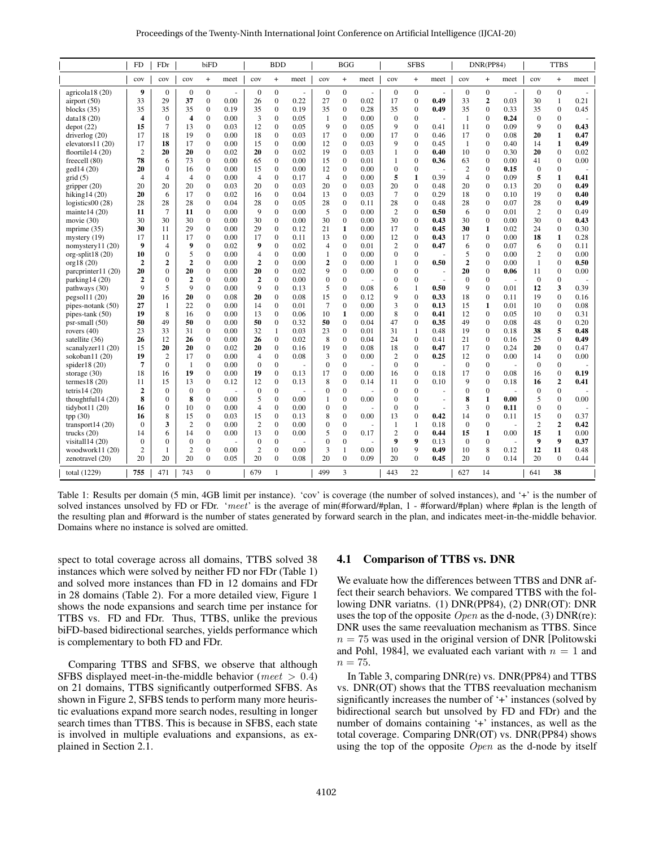| Proceedings of the Twenty-Ninth International Joint Conference on Artificial Intelligence (IJCAI-20) |  |  |  |  |
|------------------------------------------------------------------------------------------------------|--|--|--|--|
|------------------------------------------------------------------------------------------------------|--|--|--|--|

<span id="page-4-0"></span>

|                     | <b>FD</b>      | FDr              |                         | biFD             |                      |                  | <b>BDD</b>                       |      |                  | <b>BGG</b>     |          |                  | <b>SFBS</b>      |        |                  | DNR(PP84)        |        |                  | <b>TTBS</b>      |        |
|---------------------|----------------|------------------|-------------------------|------------------|----------------------|------------------|----------------------------------|------|------------------|----------------|----------|------------------|------------------|--------|------------------|------------------|--------|------------------|------------------|--------|
|                     | cov            | cov              | cov                     | $+$              | meet                 | cov              | $\begin{array}{c} + \end{array}$ | meet | cov              | $+$            | meet     | cov              | $\ddot{}$        | meet   | cov              | $+$              | meet   | cov              | $+$              | meet   |
| agricola18 (20)     | 9              | $\mathbf{0}$     | $\mathbf{0}$            | $\overline{0}$   | $\ddot{\phantom{1}}$ | $\boldsymbol{0}$ | $\mathbf{0}$                     | ÷,   | $\boldsymbol{0}$ | $\mathbf{0}$   | $\omega$ | $\boldsymbol{0}$ | $\boldsymbol{0}$ | $\sim$ | $\boldsymbol{0}$ | $\boldsymbol{0}$ | $\sim$ | $\boldsymbol{0}$ | $\mathbf{0}$     | $\sim$ |
| airport $(50)$      | 33             | 29               | 37                      | $\overline{0}$   | 0.00                 | 26               | $\mathbf{0}$                     | 0.22 | 27               | $\mathbf{0}$   | 0.02     | 17               | $\mathbf{0}$     | 0.49   | 33               | $\mathbf{2}$     | 0.03   | 30               | 1                | 0.21   |
| blocks $(35)$       | 35             | 35               | 35                      | $\boldsymbol{0}$ | 0.19                 | 35               | $\overline{0}$                   | 0.19 | 35               | $\mathbf{0}$   | 0.28     | 35               | $\boldsymbol{0}$ | 0.49   | 35               | $\boldsymbol{0}$ | 0.33   | 35               | $\mathbf{0}$     | 0.45   |
| data18 $(20)$       | 4              | $\mathbf{0}$     | $\overline{\mathbf{4}}$ | $\mathbf{0}$     | 0.00                 | 3                | $\mathbf{0}$                     | 0.05 | 1                | $\mathbf{0}$   | 0.00     | $\theta$         | $\mathbf{0}$     |        | -1               | $\mathbf{0}$     | 0.24   | $\mathbf{0}$     | $\mathbf{0}$     |        |
| depot(22)           | 15             | $\overline{7}$   | 13                      | $\overline{0}$   | 0.03                 | 12               | $\overline{0}$                   | 0.05 | 9                | $\overline{0}$ | 0.05     | 9                | $\mathbf{0}$     | 0.41   | 11               | $\overline{0}$   | 0.09   | 9                | $\overline{0}$   | 0.43   |
| driverlog $(20)$    | 17             | 18               | 19                      | $\mathbf{0}$     | 0.00                 | 18               | $\mathbf{0}$                     | 0.03 | 17               | $\mathbf{0}$   | 0.00     | 17               | $\mathbf{0}$     | 0.46   | 17               | $\mathbf{0}$     | 0.08   | 20               | $\mathbf{1}$     | 0.47   |
| elevators $11(20)$  | 17             | 18               | 17                      | $\Omega$         | 0.00                 | 15               | $\overline{0}$                   | 0.00 | 12               | $\mathbf{0}$   | 0.03     | 9                | $\Omega$         | 0.45   | 1                | $\theta$         | 0.40   | 14               | $\mathbf{1}$     | 0.49   |
| floortile $14(20)$  | $\overline{2}$ | 20               | 20                      | $\mathbf{0}$     | 0.02                 | 20               | $\boldsymbol{0}$                 | 0.02 | 19               | $\mathbf{0}$   | 0.03     | $\mathbf{1}$     | $\mathbf{0}$     | 0.40   | 10               | $\boldsymbol{0}$ | 0.30   | 20               | $\mathbf{0}$     | 0.02   |
| freecell (80)       | 78             | 6                | 73                      | $\Omega$         | 0.00                 | 65               | $\overline{0}$                   | 0.00 | 15               | $\overline{0}$ | 0.01     | $\mathbf{1}$     | $\mathbf{0}$     | 0.36   | 63               | $\mathbf{0}$     | 0.00   | 41               | $\mathbf{0}$     | 0.00   |
| gcd14(20)           | 20             | $\boldsymbol{0}$ | 16                      | $\mathbf{0}$     | 0.00                 | 15               | $\boldsymbol{0}$                 | 0.00 | 12               | $\mathbf{0}$   | 0.00     | $\mathbf{0}$     | $\boldsymbol{0}$ |        | $\mathbf{2}$     | $\mathbf{0}$     | 0.15   | $\boldsymbol{0}$ | $\mathbf{0}$     | ÷,     |
| grid(5)             | $\overline{4}$ | $\overline{4}$   | $\overline{4}$          | $\mathbf{0}$     | 0.00                 | $\overline{4}$   | $\mathbf{0}$                     | 0.17 | $\overline{4}$   | $\mathbf{0}$   | 0.00     | 5                | 1                | 0.39   | $\overline{4}$   | $\mathbf{0}$     | 0.09   | 5                | $\mathbf{1}$     | 0.41   |
| gripper $(20)$      | 20             | 20               | 20                      | $\mathbf{0}$     | 0.03                 | 20               | $\mathbf{0}$                     | 0.03 | 20               | $\mathbf{0}$   | 0.03     | 20               | $\mathbf{0}$     | 0.48   | 20               | $\mathbf{0}$     | 0.13   | 20               | $\mathbf{0}$     | 0.49   |
| hiking $14(20)$     | 20             | 6                | 17                      | $\mathbf{0}$     | 0.02                 | 16               | $\mathbf{0}$                     | 0.04 | 13               | $\mathbf{0}$   | 0.03     | 7                | $\mathbf{0}$     | 0.29   | 18               | $\mathbf{0}$     | 0.10   | 19               | $\mathbf{0}$     | 0.40   |
| logistics $00(28)$  | 28             | 28               | 28                      | $\Omega$         | 0.04                 | 28               | $\mathbf{0}$                     | 0.05 | 28               | $\mathbf{0}$   | 0.11     | 28               | $\mathbf{0}$     | 0.48   | 28               | $\mathbf{0}$     | 0.07   | 28               | $\Omega$         | 0.49   |
| mainte $14(20)$     | 11             | $\overline{7}$   | 11                      | $\mathbf{0}$     | 0.00                 | 9                | $\overline{0}$                   | 0.00 | 5                | $\mathbf{0}$   | 0.00     | $\overline{2}$   | $\mathbf{0}$     | 0.50   | 6                | $\mathbf{0}$     | 0.01   | $\overline{c}$   | $\Omega$         | 0.49   |
| movie $(30)$        | 30             | 30               | 30                      | $\mathbf{0}$     | 0.00                 | 30               | $\mathbf{0}$                     | 0.00 | 30               | $\mathbf{0}$   | 0.00     | 30               | $\mathbf{0}$     | 0.43   | 30               | $\mathbf{0}$     | 0.00   | 30               | $\mathbf{0}$     | 0.43   |
| mprime $(35)$       | 30             | 11               | 29                      | $\mathbf{0}$     | 0.00                 | 29               | $\mathbf{0}$                     | 0.12 | 21               | 1              | 0.00     | 17               | $\mathbf{0}$     | 0.45   | 30               | $\mathbf{1}$     | 0.02   | 24               | $\mathbf{0}$     | 0.30   |
| $m \times (19)$     | 17             | 11               | 17                      | $\mathbf{0}$     | 0.00                 | 17               | $\mathbf{0}$                     | 0.11 | 13               | $\mathbf{0}$   | 0.00     | 12               | $\mathbf{0}$     | 0.43   | 17               | $\mathbf{0}$     | 0.00   | 18               | 1                | 0.28   |
| nomystery $11(20)$  | 9              | $\overline{4}$   | 9                       | $\Omega$         | 0.02                 | 9                | $\theta$                         | 0.02 | $\overline{4}$   | $\mathbf{0}$   | 0.01     | $\overline{2}$   | $\Omega$         | 0.47   | 6                | $\Omega$         | 0.07   | 6                | $\Omega$         | 0.11   |
| $org-split18(20)$   | 10             | $\mathbf{0}$     | 5                       | $\mathbf{0}$     | 0.00                 | $\overline{4}$   | $\mathbf{0}$                     | 0.00 | $\mathbf{1}$     | $\mathbf{0}$   | 0.00     | $\mathbf{0}$     | $\mathbf{0}$     |        | 5                | $\mathbf{0}$     | 0.00   | $\overline{c}$   | $\mathbf{0}$     | 0.00   |
| org18(20)           | $\overline{2}$ | $\overline{2}$   | $\overline{2}$          | $\Omega$         | 0.00                 | $\overline{2}$   | $\mathbf{0}$                     | 0.00 | $\boldsymbol{2}$ | $\mathbf{0}$   | 0.00     | 1                | $\mathbf{0}$     | 0.50   | $\overline{2}$   | $\mathbf{0}$     | 0.00   | 1                | $\Omega$         | 0.50   |
| parcprinter11 (20)  | 20             | $\mathbf{0}$     | 20                      | $\mathbf{0}$     | 0.00                 | 20               | $\overline{0}$                   | 0.02 | 9                | $\mathbf{0}$   | 0.00     | $\boldsymbol{0}$ | $\boldsymbol{0}$ |        | 20               | $\mathbf{0}$     | 0.06   | 11               | $\mathbf{0}$     | 0.00   |
| parking $14(20)$    | $\overline{2}$ | $\mathbf{0}$     | $\overline{2}$          | $\mathbf{0}$     | 0.00                 | $\overline{2}$   | $\mathbf{0}$                     | 0.00 | $\boldsymbol{0}$ | $\mathbf{0}$   |          | $\boldsymbol{0}$ | $\mathbf{0}$     |        | $\mathbf{0}$     | $\mathbf{0}$     |        | $\mathbf{0}$     | $\Omega$         |        |
| pathways (30)       | 9              | 5                | 9                       | $\mathbf{0}$     | 0.00                 | 9                | $\overline{0}$                   | 0.13 | 5                | $\overline{0}$ | 0.08     | 6                | $\mathbf{1}$     | 0.50   | 9                | $\overline{0}$   | 0.01   | 12               | 3                | 0.39   |
| pegsol11(20)        | 20             | 16               | 20                      | $\mathbf{0}$     | 0.08                 | 20               | $\mathbf{0}$                     | 0.08 | 15               | $\mathbf{0}$   | 0.12     | 9                | $\mathbf{0}$     | 0.33   | 18               | $\mathbf{0}$     | 0.11   | 19               | $\Omega$         | 0.16   |
| pipes-notank (50)   | 27             | 1                | 22                      | $\Omega$         | 0.00                 | 14               | $\overline{0}$                   | 0.01 | $7\phantom{.0}$  | $\mathbf{0}$   | 0.00     | 3                | $\mathbf{0}$     | 0.13   | 15               | 1                | 0.01   | 10               | $\mathbf{0}$     | 0.08   |
| pipes-tank (50)     | 19             | 8                | 16                      | $\mathbf{0}$     | 0.00                 | 13               | $\mathbf{0}$                     | 0.06 | 10               | 1              | 0.00     | 8                | $\mathbf{0}$     | 0.41   | 12               | $\mathbf{0}$     | 0.05   | 10               | $\mathbf{0}$     | 0.31   |
| psr-small (50)      | 50             | 49               | 50                      | $\Omega$         | 0.00                 | 50               | $\mathbf{0}$                     | 0.32 | 50               | $\mathbf{0}$   | 0.04     | 47               | $\mathbf{0}$     | 0.35   | 49               | $\mathbf{0}$     | 0.08   | 48               | $\mathbf{0}$     | 0.20   |
| rovers $(40)$       | 23             | 33               | 31                      | $\mathbf{0}$     | 0.00                 | 32               | $\mathbf{1}$                     | 0.03 | 23               | $\mathbf{0}$   | 0.01     | 31               | 1                | 0.48   | 19               | $\mathbf{0}$     | 0.18   | 38               | 5                | 0.48   |
| satellite (36)      | 26             | 12               | 26                      | $\mathbf{0}$     | 0.00                 | 26               | $\mathbf{0}$                     | 0.02 | 8                | $\mathbf{0}$   | 0.04     | 24               | $\mathbf{0}$     | 0.41   | 21               | $\mathbf{0}$     | 0.16   | 25               | $\Omega$         | 0.49   |
| scanalyzer $11(20)$ | 15             | 20               | 20                      | $\Omega$         | 0.02                 | 20               | $\mathbf{0}$                     | 0.16 | 19               | $\Omega$       | 0.08     | 18               | $\Omega$         | 0.47   | 17               | $\Omega$         | 0.24   | 20               | $\Omega$         | 0.47   |
| sokoban11 (20)      | 19             | $\overline{2}$   | 17                      | $\Omega$         | 0.00                 | $\overline{4}$   | $\Omega$                         | 0.08 | 3                | $\mathbf{0}$   | 0.00     | $\overline{2}$   | $\mathbf{0}$     | 0.25   | 12               | $\mathbf{0}$     | 0.00   | 14               | $\mathbf{0}$     | 0.00   |
| spider18 $(20)$     | 7              | $\theta$         | $\mathbf{1}$            | $\Omega$         | 0.00                 | $\mathbf{0}$     | $\overline{0}$                   |      | $\mathbf{0}$     | $\overline{0}$ |          | $\Omega$         | $\mathbf{0}$     |        | $\mathbf{0}$     | $\mathbf{0}$     |        | $\Omega$         | $\Omega$         | $\sim$ |
| storage $(30)$      | 18             | 16               | 19                      | $\mathbf{0}$     | 0.00                 | 19               | $\overline{0}$                   | 0.13 | 17               | $\mathbf{0}$   | 0.00     | 16               | $\mathbf{0}$     | 0.18   | 17               | $\mathbf{0}$     | 0.08   | 16               | $\mathbf{0}$     | 0.19   |
| termes $18(20)$     | 11             | 15               | 13                      | $\Omega$         | 0.12                 | 12               | $\theta$                         | 0.13 | 8                | $\Omega$       | 0.14     | 11               | $\Omega$         | 0.10   | 9                | $\Omega$         | 0.18   | 16               | $\overline{2}$   | 0.41   |
| tetris $14(20)$     | $\overline{2}$ | $\mathbf{0}$     | $\mathbf{0}$            | $\mathbf{0}$     |                      | $\mathbf{0}$     | $\overline{0}$                   |      | $\mathbf{0}$     | $\mathbf{0}$   |          | $\mathbf{0}$     | $\mathbf{0}$     |        | $\mathbf{0}$     | $\mathbf{0}$     |        | $\mathbf{0}$     | $\mathbf{0}$     |        |
| thoughtful $14(20)$ | 8              | $\Omega$         | 8                       | $\Omega$         | 0.00                 | 5                | $\mathbf{0}$                     | 0.00 | $\mathbf{1}$     | $\mathbf{0}$   | 0.00     | $\mathbf{0}$     | $\mathbf{0}$     | ÷,     | 8                | 1                | 0.00   | 5                | $\Omega$         | 0.00   |
| tidybot11 $(20)$    | 16             | $\Omega$         | 10                      | $\Omega$         | 0.00                 | $\overline{4}$   | $\Omega$                         | 0.00 | $\mathbf{0}$     | $\mathbf{0}$   |          | $\mathbf{0}$     | $\overline{0}$   |        | 3                | $\Omega$         | 0.11   | $\mathbf{0}$     | $\Omega$         |        |
| tpp(30)             | 16             | 8                | 15                      | $\mathbf{0}$     | 0.03                 | 15               | $\mathbf{0}$                     | 0.13 | 8                | $\mathbf{0}$   | 0.00     | 13               | $\mathbf{0}$     | 0.42   | 14               | $\mathbf{0}$     | 0.11   | 15               | $\mathbf{0}$     | 0.37   |
| transport $14(20)$  | $\Omega$       | 3                | $\overline{2}$          | $\Omega$         | 0.00                 | $\overline{2}$   | $\theta$                         | 0.00 | $\mathbf{0}$     | $\mathbf{0}$   |          | $\mathbf{1}$     | 1                | 0.18   | $\mathbf{0}$     | $\mathbf{0}$     |        | $\overline{c}$   | $\overline{2}$   | 0.42   |
| trucks $(20)$       | 14             | 6                | 14                      | $\mathbf{0}$     | 0.00                 | 13               | $\mathbf{0}$                     | 0.00 | 5                | $\mathbf{0}$   | 0.17     | $\overline{c}$   | $\mathbf{0}$     | 0.44   | 15               | $\mathbf{1}$     | 0.00   | 15               | 1                | 0.00   |
| visital114 (20)     | $\Omega$       | $\mathbf{0}$     | $\mathbf{0}$            | $\mathbf{0}$     |                      | $\mathbf{0}$     | $\mathbf{0}$                     |      | $\mathbf{0}$     | $\mathbf{0}$   |          | 9                | 9                | 0.13   | $\mathbf{0}$     | $\mathbf{0}$     |        | 9                | $\boldsymbol{9}$ | 0.37   |
| woodwork $11(20)$   | $\overline{2}$ | 1                | $\overline{2}$          | $\Omega$         | 0.00                 | $\overline{2}$   | $\Omega$                         | 0.00 | 3                | 1              | 0.00     | 10               | 9                | 0.49   | 10               | 8                | 0.12   | 12               | 11               | 0.48   |
| zenotravel (20)     | 20             | 20               | 20                      | $\mathbf{0}$     | 0.05                 | 20               | $\mathbf{0}$                     | 0.08 | 20               | $\mathbf{0}$   | 0.09     | 20               | $\overline{0}$   | 0.45   | 20               | $\mathbf{0}$     | 0.14   | 20               | $\mathbf{0}$     | 0.44   |
| total (1229)        | 755            | 471              | 743                     | $\mathbf{0}$     |                      | 679              | $\mathbf{1}$                     |      | 499              | 3              |          | 443              | 22               |        | 627              | 14               |        | 641              | 38               |        |

Table 1: Results per domain (5 min, 4GB limit per instance). 'cov' is coverage (the number of solved instances), and '+' is the number of solved instances unsolved by FD or FDr. 'meet' is the average of min(#forward/#plan, 1 - #forward/#plan) where #plan is the length of the resulting plan and #forward is the number of states generated by forward search in the plan, and indicates meet-in-the-middle behavior. Domains where no instance is solved are omitted.

spect to total coverage across all domains, TTBS solved 38 instances which were solved by neither FD nor FDr (Table [1\)](#page-4-0) and solved more instances than FD in 12 domains and FDr in 28 domains (Table [2\)](#page-5-0). For a more detailed view, Figure [1](#page-5-1) shows the node expansions and search time per instance for TTBS vs. FD and FDr. Thus, TTBS, unlike the previous biFD-based bidirectional searches, yields performance which is complementary to both FD and FDr.

Comparing TTBS and SFBS, we observe that although SFBS displayed meet-in-the-middle behavior (meet  $> 0.4$ ) on 21 domains, TTBS significantly outperformed SFBS. As shown in Figure [2,](#page-5-2) SFBS tends to perform many more heuristic evaluations expand more search nodes, resulting in longer search times than TTBS. This is because in SFBS, each state is involved in multiple evaluations and expansions, as explained in Section [2.1.](#page-0-0)

#### 4.1 Comparison of TTBS vs. DNR

We evaluate how the differences between TTBS and DNR affect their search behaviors. We compared TTBS with the following DNR variatns. (1) DNR(PP84), (2) DNR(OT): DNR uses the top of the opposite  $Open$  as the d-node, (3) DNR(re): DNR uses the same reevaluation mechanism as TTBS. Since  $n = 75$  was used in the original version of DNR [\[Politowski](#page-7-14) [and Pohl, 1984\]](#page-7-14), we evaluated each variant with  $n = 1$  and  $n = 75$ .

In Table [3,](#page-5-3) comparing DNR(re) vs. DNR(PP84) and TTBS vs. DNR(OT) shows that the TTBS reevaluation mechanism significantly increases the number of '+' instances (solved by bidirectional search but unsolved by FD and FDr) and the number of domains containing '+' instances, as well as the total coverage. Comparing DNR(OT) vs. DNR(PP84) shows using the top of the opposite  $Open$  as the d-node by itself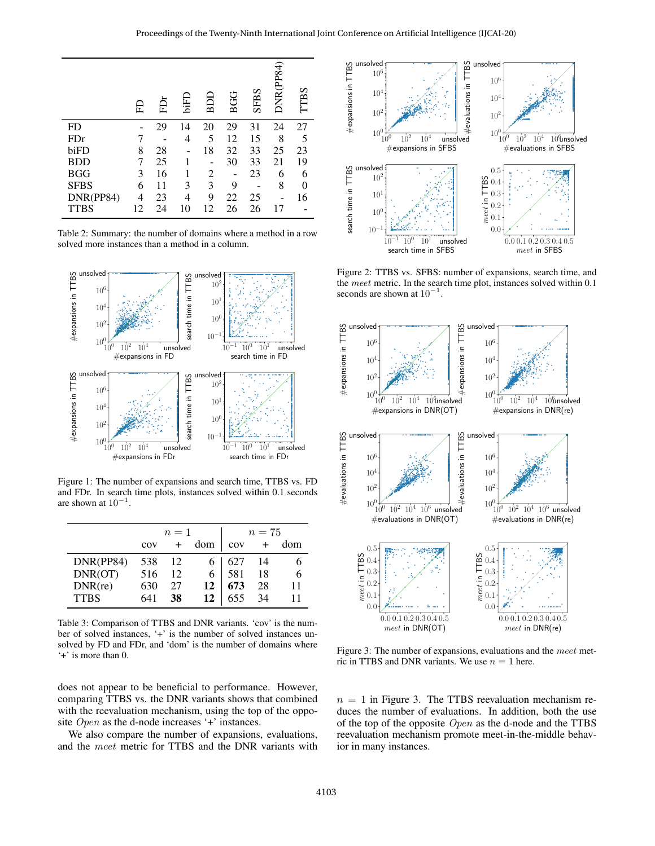<span id="page-5-0"></span>

|             | 旵  | 启  | <b>GHIQ</b> | BDD            | BGG | <b>SFBS</b> | DNR(PP84) | TTBS           |
|-------------|----|----|-------------|----------------|-----|-------------|-----------|----------------|
| FD          |    | 29 | 14          | 20             | 29  | 31          | 24        | 27             |
| FDr         |    |    | 4           | 5              | 12  | 15          | 8         | 5              |
| biFD        | 8  | 28 |             | 18             | 32  | 33          | 25        | 23             |
| <b>BDD</b>  | 7  | 25 |             |                | 30  | 33          | 21        | 19             |
| <b>BGG</b>  | 3  | 16 |             | $\overline{c}$ |     | 23          | 6         | 6              |
| <b>SFBS</b> | 6  | 11 | 3           | 3              | 9   |             | 8         | $\overline{0}$ |
| DNR(PP84)   | 4  | 23 | 4           | 9              | 22  | 25          |           | 16             |
| <b>TTBS</b> | 12 | 24 | 10          | 12             | 26  | 26          | 17        |                |

Table 2: Summary: the number of domains where a method in a row solved more instances than a method in a column.

<span id="page-5-1"></span>

Figure 1: The number of expansions and search time, TTBS vs. FD and FDr. In search time plots, instances solved within 0.1 seconds are shown at  $10^{-1}$ .

<span id="page-5-3"></span>

|             |     | $n=1$ |     |     | $n=75$ |     |
|-------------|-----|-------|-----|-----|--------|-----|
|             | cov | $+$   | dom | cov | $+$    | dom |
| DNR(PP84)   | 538 | 12    |     | 627 | 14     | n   |
| DNR(OT)     | 516 | 12    | 6.  | 581 | 18     | 6   |
| DNR(re)     | 630 | 27    | 12  | 673 | 28     | 11  |
| <b>TTBS</b> |     | 38    | 12  | 655 | 34     |     |

Table 3: Comparison of TTBS and DNR variants. 'cov' is the number of solved instances, '+' is the number of solved instances unsolved by FD and FDr, and 'dom' is the number of domains where '+' is more than 0.

does not appear to be beneficial to performance. However, comparing TTBS vs. the DNR variants shows that combined with the reevaluation mechanism, using the top of the opposite *Open* as the d-node increases '+' instances.

We also compare the number of expansions, evaluations, and the meet metric for TTBS and the DNR variants with

<span id="page-5-2"></span>

Figure 2: TTBS vs. SFBS: number of expansions, search time, and the *meet* metric. In the search time plot, instances solved within 0.1 seconds are shown at  $10^{-1}$ .

<span id="page-5-4"></span>

Figure 3: The number of expansions, evaluations and the meet metric in TTBS and DNR variants. We use  $n = 1$  here.

 $n = 1$  in Figure [3.](#page-5-4) The TTBS reevaluation mechanism reduces the number of evaluations. In addition, both the use of the top of the opposite  $Open$  as the d-node and the TTBS reevaluation mechanism promote meet-in-the-middle behavior in many instances.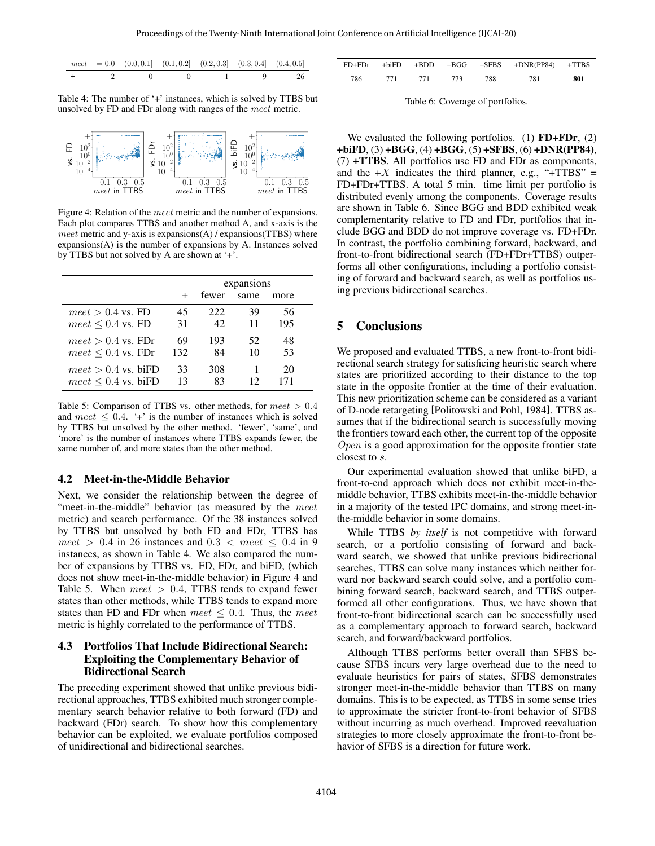<span id="page-6-0"></span>

|  |  | $meet = 0.0 \quad (0.0, 0.1] \quad (0.1, 0.2] \quad (0.2, 0.3] \quad (0.3, 0.4] \quad (0.4, 0.5]$ |  |
|--|--|---------------------------------------------------------------------------------------------------|--|
|  |  | $+$ 2 0 0 1 9 26                                                                                  |  |

Table 4: The number of '+' instances, which is solved by TTBS but unsolved by FD and FDr along with ranges of the meet metric.

<span id="page-6-1"></span>

Figure 4: Relation of the meet metric and the number of expansions. Each plot compares TTBS and another method A, and x-axis is the meet metric and y-axis is expansions( $A$ ) / expansions( $TTBS$ ) where expansions(A) is the number of expansions by A. Instances solved by TTBS but not solved by A are shown at '+'.

<span id="page-6-2"></span>

|                          |     | expansions |      |      |  |  |  |  |
|--------------------------|-----|------------|------|------|--|--|--|--|
|                          |     | fewer      | same | more |  |  |  |  |
| $meet > 0.4$ vs. FD      | 45  | 222        | 39   | 56   |  |  |  |  |
| $meet \leq 0.4$ vs. FD   | 31  | 42         | 11   | 195  |  |  |  |  |
| $meet > 0.4$ vs. FDr     | 69  | 193        | 52.  | 48   |  |  |  |  |
| $meet \leq 0.4$ vs. FDr  | 132 | 84         | 10   | 53   |  |  |  |  |
| $meet > 0.4$ vs. biFD    | 33  | 308        |      | 20   |  |  |  |  |
| $meet \leq 0.4$ vs. biFD | 13  | 83         | 12   | 71   |  |  |  |  |

Table 5: Comparison of TTBS vs. other methods, for  $meet > 0.4$ and  $meet \leq 0.4$ . '+' is the number of instances which is solved by TTBS but unsolved by the other method. 'fewer', 'same', and 'more' is the number of instances where TTBS expands fewer, the same number of, and more states than the other method.

#### 4.2 Meet-in-the-Middle Behavior

Next, we consider the relationship between the degree of "meet-in-the-middle" behavior (as measured by the *meet* metric) and search performance. Of the 38 instances solved by TTBS but unsolved by both FD and FDr, TTBS has meet > 0.4 in 26 instances and  $0.3 <$  meet  $\leq 0.4$  in 9 instances, as shown in Table [4.](#page-6-0) We also compared the number of expansions by TTBS vs. FD, FDr, and biFD, (which does not show meet-in-the-middle behavior) in Figure [4](#page-6-1) and Table [5.](#page-6-2) When  $meet > 0.4$ , TTBS tends to expand fewer states than other methods, while TTBS tends to expand more states than FD and FDr when meet  $\leq$  0.4. Thus, the meet metric is highly correlated to the performance of TTBS.

### 4.3 Portfolios That Include Bidirectional Search: Exploiting the Complementary Behavior of Bidirectional Search

The preceding experiment showed that unlike previous bidirectional approaches, TTBS exhibited much stronger complementary search behavior relative to both forward (FD) and backward (FDr) search. To show how this complementary behavior can be exploited, we evaluate portfolios composed of unidirectional and bidirectional searches.

<span id="page-6-3"></span>

| $FD+FDr$ | +biFD | +BDD |     |     | $+BGG$ $+SFBS$ $+DNR(PP84)$ $+TTBS$ |     |
|----------|-------|------|-----|-----|-------------------------------------|-----|
| 786      | 771   | 771  | 773 | 788 | 781                                 | 801 |

Table 6: Coverage of portfolios.

We evaluated the following portfolios. (1)  $FD + FDr$ , (2)  $+biFD$ , (3)  $+BGG$ , (4)  $+BGG$ , (5)  $+SFBS$ , (6)  $+DNR(PP84)$ , (7) +TTBS. All portfolios use FD and FDr as components, and the  $+X$  indicates the third planner, e.g., "+TTBS" = FD+FDr+TTBS. A total 5 min. time limit per portfolio is distributed evenly among the components. Coverage results are shown in Table [6.](#page-6-3) Since BGG and BDD exhibited weak complementarity relative to FD and FDr, portfolios that include BGG and BDD do not improve coverage vs. FD+FDr. In contrast, the portfolio combining forward, backward, and front-to-front bidirectional search (FD+FDr+TTBS) outperforms all other configurations, including a portfolio consisting of forward and backward search, as well as portfolios using previous bidirectional searches.

### 5 Conclusions

We proposed and evaluated TTBS, a new front-to-front bidirectional search strategy for satisficing heuristic search where states are prioritized according to their distance to the top state in the opposite frontier at the time of their evaluation. This new prioritization scheme can be considered as a variant of D-node retargeting [\[Politowski and Pohl, 1984\]](#page-7-14). TTBS assumes that if the bidirectional search is successfully moving the frontiers toward each other, the current top of the opposite  $Open$  is a good approximation for the opposite frontier state closest to s.

Our experimental evaluation showed that unlike biFD, a front-to-end approach which does not exhibit meet-in-themiddle behavior, TTBS exhibits meet-in-the-middle behavior in a majority of the tested IPC domains, and strong meet-inthe-middle behavior in some domains.

While TTBS *by itself* is not competitive with forward search, or a portfolio consisting of forward and backward search, we showed that unlike previous bidirectional searches, TTBS can solve many instances which neither forward nor backward search could solve, and a portfolio combining forward search, backward search, and TTBS outperformed all other configurations. Thus, we have shown that front-to-front bidirectional search can be successfully used as a complementary approach to forward search, backward search, and forward/backward portfolios.

Although TTBS performs better overall than SFBS because SFBS incurs very large overhead due to the need to evaluate heuristics for pairs of states, SFBS demonstrates stronger meet-in-the-middle behavior than TTBS on many domains. This is to be expected, as TTBS in some sense tries to approximate the stricter front-to-front behavior of SFBS without incurring as much overhead. Improved reevaluation strategies to more closely approximate the front-to-front behavior of SFBS is a direction for future work.